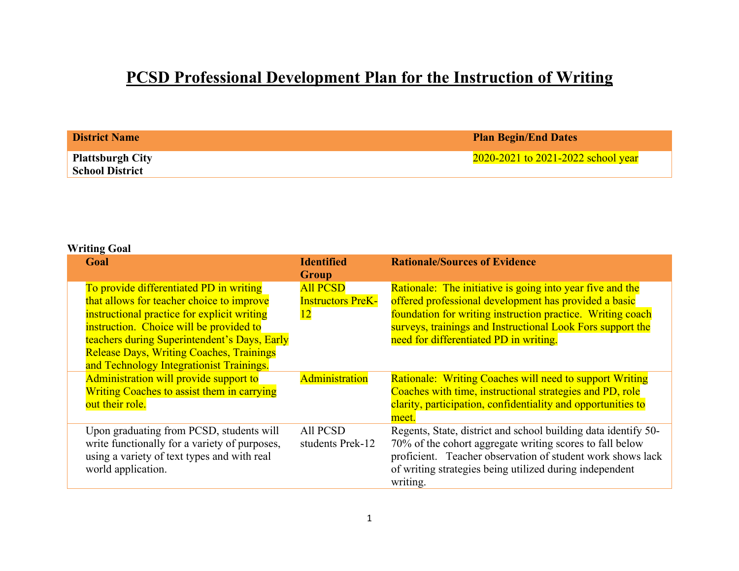## **PCSD Professional Development Plan for the Instruction of Writing**

| <b>District Name</b>                              | <b>Plan Begin/End Dates</b>        |
|---------------------------------------------------|------------------------------------|
| <b>Plattsburgh City</b><br><b>School District</b> | 2020-2021 to 2021-2022 school year |

#### **Writing Goal**

| Goal                                                                                                                                                                                                                                                                                                                          | <b>Identified</b><br>Group                        | <b>Rationale/Sources of Evidence</b>                                                                                                                                                                                                                                                     |
|-------------------------------------------------------------------------------------------------------------------------------------------------------------------------------------------------------------------------------------------------------------------------------------------------------------------------------|---------------------------------------------------|------------------------------------------------------------------------------------------------------------------------------------------------------------------------------------------------------------------------------------------------------------------------------------------|
| To provide differentiated PD in writing<br>that allows for teacher choice to improve<br>instructional practice for explicit writing<br>instruction. Choice will be provided to<br>teachers during Superintendent's Days, Early<br><b>Release Days, Writing Coaches, Trainings</b><br>and Technology Integrationist Trainings. | <b>All PCSD</b><br><b>Instructors PreK-</b><br>12 | Rationale: The initiative is going into year five and the<br>offered professional development has provided a basic<br>foundation for writing instruction practice. Writing coach<br>surveys, trainings and Instructional Look Fors support the<br>need for differentiated PD in writing. |
| Administration will provide support to<br><b>Writing Coaches to assist them in carrying</b><br>out their role.                                                                                                                                                                                                                | Administration                                    | <b>Rationale: Writing Coaches will need to support Writing</b><br>Coaches with time, instructional strategies and PD, role<br>clarity, participation, confidentiality and opportunities to<br>meet.                                                                                      |
| Upon graduating from PCSD, students will<br>write functionally for a variety of purposes,<br>using a variety of text types and with real<br>world application.                                                                                                                                                                | All PCSD<br>students Prek-12                      | Regents, State, district and school building data identify 50-<br>70% of the cohort aggregate writing scores to fall below<br>proficient. Teacher observation of student work shows lack<br>of writing strategies being utilized during independent<br>writing.                          |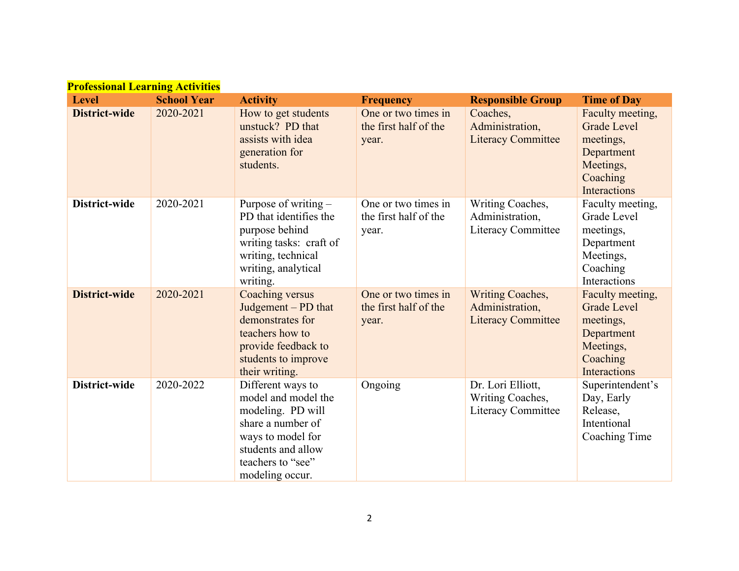| <b>Professional Learning Activities</b> |                    |                                                                                                                                                                       |                                                       |                                                                  |                                                                                                            |
|-----------------------------------------|--------------------|-----------------------------------------------------------------------------------------------------------------------------------------------------------------------|-------------------------------------------------------|------------------------------------------------------------------|------------------------------------------------------------------------------------------------------------|
| <b>Level</b>                            | <b>School Year</b> | <b>Activity</b>                                                                                                                                                       | <b>Frequency</b>                                      | <b>Responsible Group</b>                                         | <b>Time of Day</b>                                                                                         |
| <b>District-wide</b>                    | 2020-2021          | How to get students<br>unstuck? PD that<br>assists with idea<br>generation for<br>students.                                                                           | One or two times in<br>the first half of the<br>year. | Coaches,<br>Administration,<br><b>Literacy Committee</b>         | Faculty meeting,<br><b>Grade Level</b><br>meetings,<br>Department<br>Meetings,<br>Coaching<br>Interactions |
| District-wide                           | 2020-2021          | Purpose of writing $-$<br>PD that identifies the<br>purpose behind<br>writing tasks: craft of<br>writing, technical<br>writing, analytical<br>writing.                | One or two times in<br>the first half of the<br>year. | Writing Coaches,<br>Administration,<br>Literacy Committee        | Faculty meeting,<br>Grade Level<br>meetings,<br>Department<br>Meetings,<br>Coaching<br>Interactions        |
| <b>District-wide</b>                    | 2020-2021          | Coaching versus<br>Judgement $-$ PD that<br>demonstrates for<br>teachers how to<br>provide feedback to<br>students to improve<br>their writing.                       | One or two times in<br>the first half of the<br>year. | Writing Coaches,<br>Administration,<br><b>Literacy Committee</b> | Faculty meeting,<br><b>Grade Level</b><br>meetings,<br>Department<br>Meetings,<br>Coaching<br>Interactions |
| District-wide                           | 2020-2022          | Different ways to<br>model and model the<br>modeling. PD will<br>share a number of<br>ways to model for<br>students and allow<br>teachers to "see"<br>modeling occur. | Ongoing                                               | Dr. Lori Elliott,<br>Writing Coaches,<br>Literacy Committee      | Superintendent's<br>Day, Early<br>Release,<br>Intentional<br>Coaching Time                                 |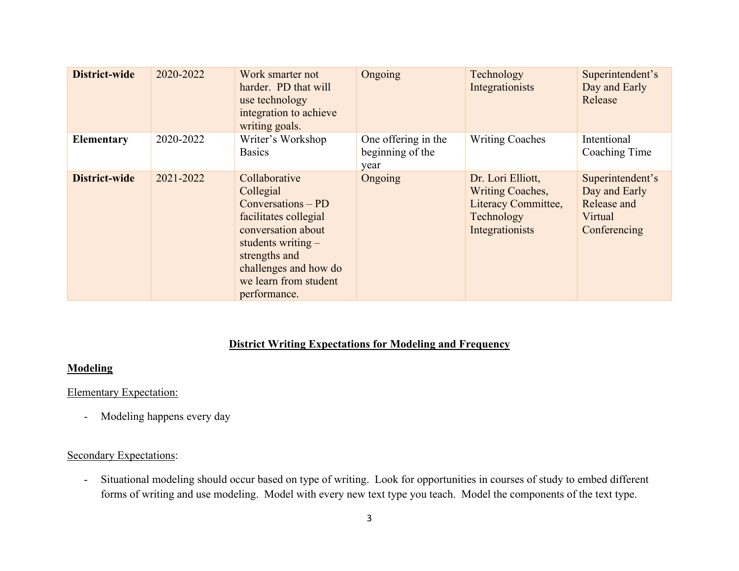| District-wide     | 2020-2022 | Work smarter not<br>harder. PD that will<br>use technology<br>integration to achieve<br>writing goals.                                                                                                     | Ongoing                                         | Technology<br>Integrationists                                                                        | Superintendent's<br>Day and Early<br>Release                                |
|-------------------|-----------|------------------------------------------------------------------------------------------------------------------------------------------------------------------------------------------------------------|-------------------------------------------------|------------------------------------------------------------------------------------------------------|-----------------------------------------------------------------------------|
| <b>Elementary</b> | 2020-2022 | Writer's Workshop<br><b>Basics</b>                                                                                                                                                                         | One offering in the<br>beginning of the<br>year | <b>Writing Coaches</b>                                                                               | Intentional<br>Coaching Time                                                |
| District-wide     | 2021-2022 | Collaborative<br>Collegial<br>$Conversions - PD$<br>facilitates collegial<br>conversation about<br>students writing $-$<br>strengths and<br>challenges and how do<br>we learn from student<br>performance. | Ongoing                                         | Dr. Lori Elliott,<br><b>Writing Coaches,</b><br>Literacy Committee,<br>Technology<br>Integrationists | Superintendent's<br>Day and Early<br>Release and<br>Virtual<br>Conferencing |

#### **District Writing Expectations for Modeling and Frequency**

#### **Modeling**

#### Elementary Expectation:

- Modeling happens every day

#### Secondary Expectations:

- Situational modeling should occur based on type of writing. Look for opportunities in courses of study to embed different forms of writing and use modeling. Model with every new text type you teach. Model the components of the text type.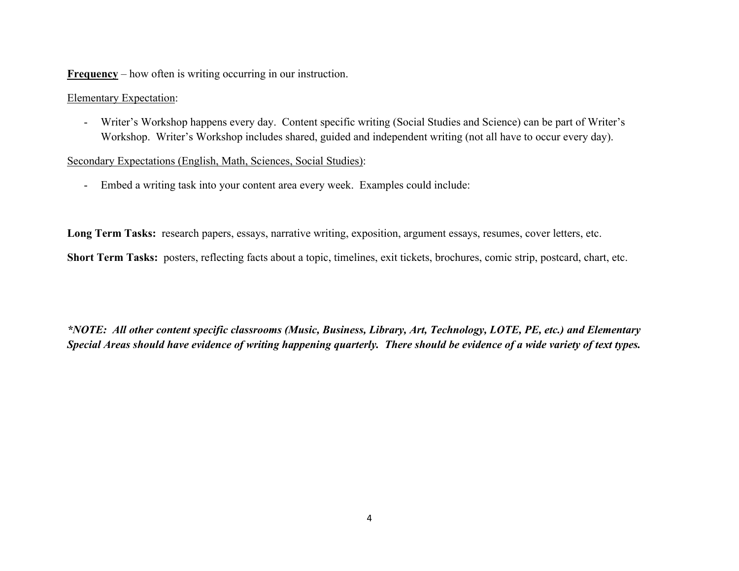**Frequency** – how often is writing occurring in our instruction.

Elementary Expectation:

- Writer's Workshop happens every day. Content specific writing (Social Studies and Science) can be part of Writer's Workshop. Writer's Workshop includes shared, guided and independent writing (not all have to occur every day).

Secondary Expectations (English, Math, Sciences, Social Studies):

- Embed a writing task into your content area every week. Examples could include:

**Long Term Tasks:** research papers, essays, narrative writing, exposition, argument essays, resumes, cover letters, etc.

**Short Term Tasks:** posters, reflecting facts about a topic, timelines, exit tickets, brochures, comic strip, postcard, chart, etc.

*\*NOTE: All other content specific classrooms (Music, Business, Library, Art, Technology, LOTE, PE, etc.) and Elementary Special Areas should have evidence of writing happening quarterly. There should be evidence of a wide variety of text types.*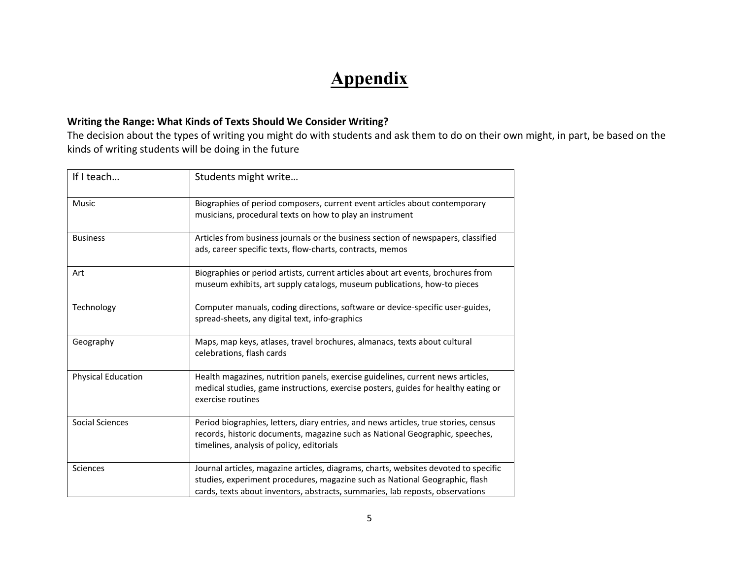# **Appendix**

### **Writing the Range: What Kinds of Texts Should We Consider Writing?**

The decision about the types of writing you might do with students and ask them to do on their own might, in part, be based on the kinds of writing students will be doing in the future

| If I teach                | Students might write                                                                                                                                                                                                                                |
|---------------------------|-----------------------------------------------------------------------------------------------------------------------------------------------------------------------------------------------------------------------------------------------------|
| Music                     | Biographies of period composers, current event articles about contemporary<br>musicians, procedural texts on how to play an instrument                                                                                                              |
| <b>Business</b>           | Articles from business journals or the business section of newspapers, classified<br>ads, career specific texts, flow-charts, contracts, memos                                                                                                      |
| Art                       | Biographies or period artists, current articles about art events, brochures from<br>museum exhibits, art supply catalogs, museum publications, how-to pieces                                                                                        |
| Technology                | Computer manuals, coding directions, software or device-specific user-guides,<br>spread-sheets, any digital text, info-graphics                                                                                                                     |
| Geography                 | Maps, map keys, atlases, travel brochures, almanacs, texts about cultural<br>celebrations, flash cards                                                                                                                                              |
| <b>Physical Education</b> | Health magazines, nutrition panels, exercise guidelines, current news articles,<br>medical studies, game instructions, exercise posters, guides for healthy eating or<br>exercise routines                                                          |
| Social Sciences           | Period biographies, letters, diary entries, and news articles, true stories, census<br>records, historic documents, magazine such as National Geographic, speeches,<br>timelines, analysis of policy, editorials                                    |
| <b>Sciences</b>           | Journal articles, magazine articles, diagrams, charts, websites devoted to specific<br>studies, experiment procedures, magazine such as National Geographic, flash<br>cards, texts about inventors, abstracts, summaries, lab reposts, observations |